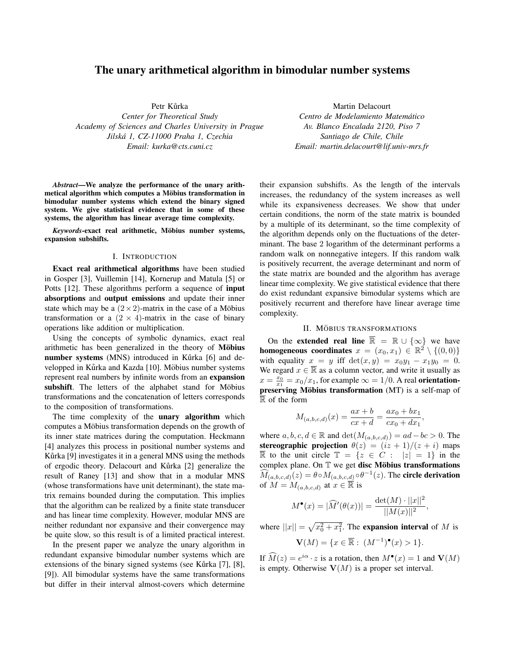# The unary arithmetical algorithm in bimodular number systems

Petr Kůrka

*Center for Theoretical Study Academy of Sciences and Charles University in Prague Jilska 1, CZ-11000 Praha 1, Czechia ´ Email: kurka@cts.cuni.cz*

*Abstract*—We analyze the performance of the unary arithmetical algorithm which computes a Möbius transformation in bimodular number systems which extend the binary signed system. We give statistical evidence that in some of these systems, the algorithm has linear average time complexity.

*Keywords*-exact real arithmetic, Möbius number systems, expansion subshifts.

#### I. INTRODUCTION

Exact real arithmetical algorithms have been studied in Gosper [3], Vuillemin [14], Kornerup and Matula [5] or Potts [12]. These algorithms perform a sequence of **input** absorptions and output emissions and update their inner state which may be a  $(2 \times 2)$ -matrix in the case of a Möbius transformation or a  $(2 \times 4)$ -matrix in the case of binary operations like addition or multiplication.

Using the concepts of symbolic dynamics, exact real arithmetic has been generalized in the theory of Möbius number systems (MNS) introduced in Kůrka [6] and developped in Kůrka and Kazda [10]. Möbius number systems represent real numbers by infinite words from an expansion subshift. The letters of the alphabet stand for Möbius transformations and the concatenation of letters corresponds to the composition of transformations.

The time complexity of the unary algorithm which computes a Möbius transformation depends on the growth of its inner state matrices during the computation. Heckmann [4] analyzes this process in positional number systems and Kůrka [9] investigates it in a general MNS using the methods of ergodic theory. Delacourt and Kůrka [2] generalize the result of Raney [13] and show that in a modular MNS (whose transformations have unit determinant), the state matrix remains bounded during the computation. This implies that the algorithm can be realized by a finite state transducer and has linear time complexity. However, modular MNS are neither redundant nor expansive and their convergence may be quite slow, so this result is of a limited practical interest.

In the present paper we analyze the unary algorithm in redundant expansive bimodular number systems which are extensions of the binary signed systems (see Kůrka [7], [8], [9]). All bimodular systems have the same transformations but differ in their interval almost-covers which determine

Martin Delacourt *Centro de Modelamiento Matematico ´ Av. Blanco Encalada 2120, Piso 7 Santiago de Chile, Chile Email: martin.delacourt@lif.univ-mrs.fr*

their expansion subshifts. As the length of the intervals increases, the redundancy of the system increases as well while its expansiveness decreases. We show that under certain conditions, the norm of the state matrix is bounded by a multiple of its determinant, so the time complexity of the algorithm depends only on the fluctuations of the determinant. The base 2 logarithm of the determinant performs a random walk on nonnegative integers. If this random walk is positively recurrent, the average determinant and norm of the state matrix are bounded and the algorithm has average linear time complexity. We give statistical evidence that there do exist redundant expansive bimodular systems which are positively recurrent and therefore have linear average time complexity.

# II. MÖBIUS TRANSFORMATIONS

On the **extended real line**  $\overline{\mathbb{R}} = \mathbb{R} \cup \{\infty\}$  we have homogeneous coordinates  $x = (x_0, x_1) \in \mathbb{R}^2 \setminus \{(0, 0)\}$ with equality  $x = y$  iff  $det(x, y) = x_0y_1 - x_1y_0 = 0$ . We regard  $x \in \overline{\mathbb{R}}$  as a column vector, and write it usually as  $x = \frac{x_0}{x_1} = x_0/x_1$ , for example  $\infty = 1/0$ . A real orientationpreserving Möbius transformation  $(MT)$  is a self-map of  $\overline{\mathbb{R}}$  of the form

$$
M_{(a,b,c,d)}(x) = \frac{ax+b}{cx+d} = \frac{ax_0+bx_1}{cx_0+dx_1},
$$

where  $a, b, c, d \in \mathbb{R}$  and  $\det(M_{(a,b,c,d)}) = ad - bc > 0$ . The stereographic projection  $\theta(z) = (iz + 1)/(z + i)$  maps  $\overline{\mathbb{R}}$  to the unit circle  $\mathbb{T} = \{z \in C : |z| = 1\}$  in the complex plane. On  $T$  we get disc Möbius transformations  $\widehat{M}_{(a,b,c,d)}(z) = \theta \circ M_{(a,b,c,\underline{d})} \circ \theta^{-1}(z)$ . The circle derivation of  $M = M_{(a,b,c,d)}$  at  $x \in \overline{\mathbb{R}}$  is

$$
M^{\bullet}(x) = |\widehat{M}'(\theta(x))| = \frac{\det(M) \cdot ||x||^2}{||M(x)||^2},
$$

where  $||x|| = \sqrt{x_0^2 + x_1^2}$ . The **expansion interval** of *M* is

$$
\mathbf{V}(M) = \{x \in \overline{\mathbb{R}} : (M^{-1})^{\bullet}(x) > 1\}.
$$

If  $\widehat{M}(z) = e^{i\alpha} \cdot z$  is a rotation, then  $M^{\bullet}(x) = 1$  and  $\mathbf{V}(M)$ is empty. Otherwise  $V(M)$  is a proper set interval.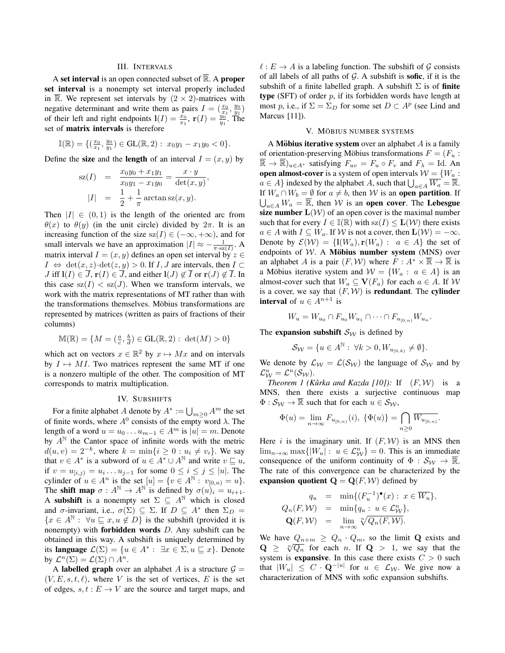# III. INTERVALS

A set interval is an open connected subset of  $\overline{\mathbb{R}}$ . A proper set interval is a nonempty set interval properly included in  $\overline{\mathbb{R}}$ . We represent set intervals by  $(2 \times 2)$ -matrices with negative determinant and write them as pairs  $I = (\frac{x_0}{x_1}, \frac{y_0}{y_1})$ of their left and right endpoints  $\mathbf{l}(I) = \frac{x_0}{x_1}$ ,  $\mathbf{r}(I) = \frac{y_0}{y_1}$ . The set of matrix intervals is therefore

$$
\mathbb{I}(\mathbb{R}) = \{ (\frac{x_0}{x_1}, \frac{y_0}{y_1}) \in \text{GL}(\mathbb{R}, 2) : x_0 y_1 - x_1 y_0 < 0 \}.
$$

Define the **size** and the **length** of an interval  $I = (x, y)$  by

$$
sz(I) = \frac{x_0 y_0 + x_1 y_1}{x_0 y_1 - x_1 y_0} = \frac{x \cdot y}{\det(x, y)},
$$
  

$$
|I| = \frac{1}{2} + \frac{1}{\pi} \arctan sz(x, y).
$$

Then  $|I| \in (0,1)$  is the length of the oriented arc from *θ*(*x*) to *θ*(*y*) (in the unit circle) divided by  $2π$ . It is an increasing function of the size  $sz(I) \in (-\infty, +\infty)$ , and for small intervals we have an approximation  $|I| \approx -\frac{1}{\pi \cdot s z(I)}$ . A matrix interval  $I = (x, y)$  defines an open set interval by  $z \in$  $I \Leftrightarrow \det(x, z) \cdot \det(z, y) > 0$ . If *I*, *J* are intervals, then  $I \subset I$ *J* iff  $I(I) \in \overline{J}$ ,  $r(I) \in \overline{J}$ , and either  $I(J) \notin \overline{I}$  or  $r(J) \notin \overline{I}$ . In this case  $sz(I) < sz(J)$ . When we transform intervals, we work with the matrix representations of MT rather than with the transformations themselves. Möbius transformations are represented by matrices (written as pairs of fractions of their columns)

$$
\mathbb{M}(\mathbb{R}) = \{ M = (\frac{a}{c}, \frac{b}{d}) \in \text{GL}(\mathbb{R}, 2) : \det(M) > 0 \}
$$

which act on vectors  $x \in \mathbb{R}^2$  by  $x \mapsto Mx$  and on intervals by  $I \mapsto MI$ . Two matrices represent the same MT if one is a nonzero multiple of the other. The composition of MT corresponds to matrix multiplication.

## IV. SUBSHIFTS

For a finite alphabet *A* denote by  $A^* := \bigcup_{m \geq 0} A^m$  the set of finite words, where  $A^0$  consists of the empty word  $\lambda$ . The length of a word  $u = u_0 \dots u_{m-1} \in A^m$  is  $|u| = m$ . Denote by  $A^N$  the Cantor space of infinite words with the metric *d*(*u*,*v*) =  $2^{-k}$ , where  $k = \min\{i \ge 0 : u_i \ne v_i\}$ . We say that  $v \in A^*$  is a subword of  $u \in A^* \cup A^{\mathbb{N}}$  and write  $v \subseteq u$ , if *v* = *u*<sub>[*i,j*)</sub> = *u<sub>i</sub>*  $\ldots$  *u<sub>j</sub>*−1 for some  $0 \le i \le j \le |u|$ . The cylinder of  $u \in A^n$  is the set  $[u] = \{v \in A^{\mathbb{N}} : v_{[0,n)} = u\}.$ The **shift map**  $\sigma : A^{\mathbb{N}} \to A^{\mathbb{N}}$  is defined by  $\sigma(u)_i = u_{i+1}$ . A subshift is a nonempty set  $\Sigma \subseteq A^{\mathbb{N}}$  which is closed and  $\sigma$ -invariant, i.e.,  $\sigma(\Sigma) \subseteq \Sigma$ . If  $D \subseteq A^*$  then  $\Sigma_D =$  ${x \in A^{\mathbb{N}} : \forall u \subseteq x, u \notin D}$  is the subshift (provided it is nonempty) with forbidden words *D*. Any subshift can be obtained in this way. A subshift is uniquely determined by its language  $\mathcal{L}(\Sigma) = \{u \in A^* : \exists x \in \Sigma, u \sqsubseteq x\}$ . Denote by  $\mathcal{L}^n(\Sigma) = \mathcal{L}(\Sigma) \cap A^n$ .

A **labelled graph** over an alphabet *A* is a structure  $G =$  $(V, E, s, t, l)$ , where *V* is the set of vertices, *E* is the set of edges,  $s, t : E \to V$  are the source and target maps, and  $\ell : E \to A$  is a labeling function. The subshift of  $\mathcal G$  consists of all labels of all paths of *G*. A subshift is sofic, if it is the subshift of a finite labelled graph. A subshift  $\Sigma$  is of finite type (SFT) of order *p*, if its forbidden words have length at most *p*, i.e., if  $\Sigma = \Sigma_D$  for some set  $D \subset A^p$  (see Lind and Marcus [11]).

# V. MÖBIUS NUMBER SYSTEMS

A **Möbius iterative system** over an alphabet  $A$  is a family of orientation-preserving Möbius transformations  $F = (F_u :$  $\overline{\mathbb{R}} \to \overline{\mathbb{R}}_{u \in A^*}$  satisfying  $F_{uv} = F_u \circ F_v$  and  $F_\lambda = \text{Id}$ . An open almost-cover is a system of open intervals  $W = \{W_a:$ *a* ∈ *A}* indexed by the alphabet *A*, such that  $\bigcup_{a \in A} \overline{W_a} = \overline{\mathbb{R}}$ . If  $W_a \cap W_b = \emptyset$  for  $a \neq b$ , then *W* is an open partition. If  $\bigcup_{a \in A} W_a = \overline{\mathbb{R}}$ , then *W* is an **open cover**. The Lebesgue size number  $L(W)$  of an open cover is the maximal number such that for every  $I \in \mathbb{I}(\mathbb{R})$  with  $sz(I) \leq L(W)$  there exists  $a \in A$  with  $I \subseteq W_a$ . If *W* is not a cover, then  $\mathbf{L}(\mathcal{W}) = -\infty$ . Denote by  $\mathcal{E}(\mathcal{W}) = \{l(W_a), r(W_a): a \in A\}$  the set of endpoints of  $W$ . A **Möbius number system** (MNS) over an alphabet *A* is a pair  $(F, W)$  where  $F : A^* \times \overline{\mathbb{R}} \to \overline{\mathbb{R}}$  is a Möbius iterative system and  $W = \{W_a : a \in A\}$  is an almost-cover such that  $W_a \subseteq V(F_a)$  for each  $a \in A$ . If *W* is a cover, we say that  $(F, W)$  is **redundant**. The **cylinder interval** of  $u \in A^{n+1}$  is

$$
W_u = W_{u_0} \cap F_{u_0} W_{u_1} \cap \dots \cap F_{u_{[0,n)}} W_{u_n}.
$$

The expansion subshift  $S_W$  is defined by

$$
\mathcal{S}_{\mathcal{W}} = \{ u \in A^{\mathbb{N}} : \ \forall k > 0, W_{u_{[0,k)}} \neq \emptyset \}.
$$

We denote by  $\mathcal{L}_W = \mathcal{L}(\mathcal{S}_W)$  the language of  $\mathcal{S}_W$  and by  $\mathcal{L}_{\mathcal{W}}^n = \mathcal{L}^n(\mathcal{S}_{\mathcal{W}}).$ 

*Theorem 1 (Kůrka and Kazda [10]):* If  $(F, W)$  is a MNS, then there exists a surjective continuous map  $\Phi : \mathcal{S}_{\mathcal{W}} \to \overline{\mathbb{R}}$  such that for each  $u \in \mathcal{S}_{\mathcal{W}}$ ,

$$
\Phi(u) = \lim_{n \to \infty} F_{u_{[0,n)}}(i), \ \{\Phi(u)\} = \bigcap_{n \ge 0} \overline{W_{u_{[0,n)}}}.
$$

Here *i* is the imaginary unit. If  $(F, W)$  is an MNS then lim<sub>*n*→∞</sub> max $\{ |W_u| : u \in L^n_W \} = 0$ . This is an immediate consequence of the uniform continuity of  $\Phi : \mathcal{S}_W \to \mathbb{R}$ . The rate of this convergence can be characterized by the expansion quotient  $\mathbf{Q} = \mathbf{Q}(F, \mathcal{W})$  defined by

$$
q_u = \min\{(F_u^{-1})^{\bullet}(x) : x \in \overline{W_u}\},
$$
  
\n
$$
Q_n(F, W) = \min\{q_u : u \in \mathcal{L}_W^n\},
$$
  
\n
$$
\mathbf{Q}(F, W) = \lim_{n \to \infty} \sqrt[n]{Q_n(F, W)}.
$$

We have  $Q_{n+m} \geq Q_n \cdot Q_m$ , so the limit **Q** exists and **Q**  $\geq \sqrt[n]{Q_n}$  for each *n*. If **Q**  $> 1$ , we say that the system is **expansive**. In this case there exists  $C > 0$  such that  $|W_u| \leq C \cdot \mathbf{Q}^{-|u|}$  for  $u \in \mathcal{L}_{\mathcal{W}}$ . We give now a characterization of MNS with sofic expansion subshifts.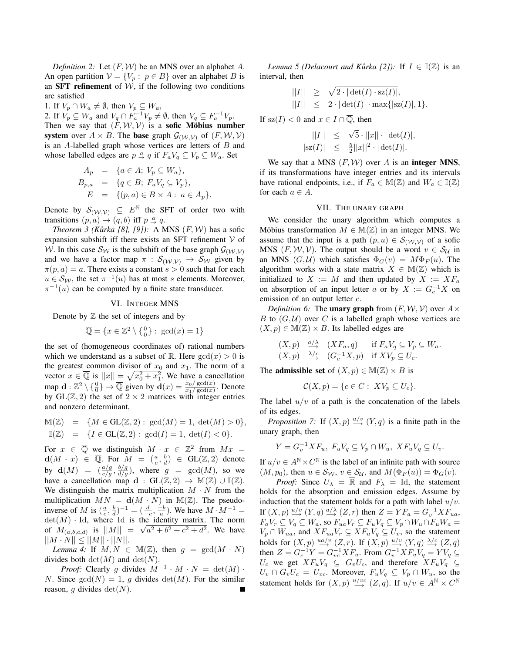*Definition 2:* Let (*F, W*) be an MNS over an alphabet *A*. An open partition  $V = \{V_p : p \in B\}$  over an alphabet *B* is an **SFT** refinement of  $W$ , if the following two conditions are satisfied

1. If  $V_p \cap W_a \neq \emptyset$ , then  $V_p \subseteq W_a$ , 2. If  $V_p \subseteq W_a$  and  $V_q \cap F_a^{-1}V_p \neq \emptyset$ , then  $V_q \subseteq F_a^{-1}V_p$ . Then we say that  $(F, W, V)$  is a **sofic Möbius number** system over  $A \times B$ . The base graph  $\mathcal{G}_{(\mathcal{W}, \mathcal{V})}$  of  $(F, \mathcal{W}, \mathcal{V})$ is an *A*-labelled graph whose vertices are letters of *B* and whose labelled edges are  $p \stackrel{a}{\rightarrow} q$  if  $F_a V_q \subseteq V_p \subseteq W_a$ . Set

$$
A_p = \{a \in A; V_p \subseteq W_a\},\newline B_{p,a} = \{q \in B; F_a V_q \subseteq V_p\},\newline E = \{(p,a) \in B \times A: a \in A_p\}.
$$

Denote by  $S_{(W,V)} \subseteq E^{\mathbb{N}}$  the SFT of order two with transitions  $(p, a) \rightarrow (q, b)$  iff  $p \stackrel{a}{\rightarrow} q$ .

*Theorem 3 (Kůrka [8], [9]):* A MNS  $(F, W)$  has a sofic expansion subshift iff there exists an SFT refinement *V* of *W*. In this case  $S_W$  is the subshift of the base graph  $G(W, V)$ and we have a factor map  $\pi$  :  $S_{(\mathcal{W}, \mathcal{V})}$   $\rightarrow$   $S_{\mathcal{W}}$  given by  $\pi(p, a) = a$ . There exists a constant  $s > 0$  such that for each  $u \in S_{\mathcal{W}}$ , the set  $\pi^{-1}(u)$  has at most *s* elements. Moreover,  $\pi^{-1}(u)$  can be computed by a finite state transducer.

#### VI. INTEGER MNS

Denote by  $Z$  the set of integers and by

$$
\overline{\mathbb{Q}} = \{x \in \mathbb{Z}^2 \setminus \{\frac{0}{0}\} : \gcd(x) = 1\}
$$

the set of (homogeneous coordinates of) rational numbers which we understand as a subset of  $\overline{\mathbb{R}}$ . Here  $gcd(x) > 0$  is the greatest common divisor of  $x_0$  and  $x_1$ . The norm of a vector  $x \in \overline{\mathbb{Q}}$  is  $||x|| = \sqrt{x_0^2 + x_1^2}$ . We have a cancellation map  $\mathbf{d} : \mathbb{Z}^2 \setminus \{\frac{0}{0}\} \to \overline{\mathbb{Q}}$  given by  $\mathbf{d}(x) = \frac{x_0 / \text{gcd}(x)}{x_1 / \text{gcd}(x)}$ . Denote by  $GL(\mathbb{Z}, 2)$  the set of  $2 \times 2$  matrices with integer entries and nonzero determinant,

$$
\mathbb{M}(\mathbb{Z}) = \{ M \in \mathbf{GL}(\mathbb{Z}, 2) : \gcd(M) = 1, \, \det(M) > 0 \},
$$
\n
$$
\mathbb{I}(\mathbb{Z}) = \{ I \in \mathbf{GL}(\mathbb{Z}, 2) : \gcd(I) = 1, \, \det(I) < 0 \}.
$$

For  $x \in \overline{Q}$  we distinguish  $M \cdot x \in \mathbb{Z}^2$  from  $Mx =$  $d(M \cdot x) \in \overline{\mathbb{Q}}$ . For  $M = (\frac{a}{c}, \frac{b}{d}) \in GL(\mathbb{Z}, 2)$  denote by  $\mathbf{d}(M) = \left( \frac{a/g}{c/g}, \frac{b/g}{d/g} \right)$ , where  $g = \text{gcd}(M)$ , so we have a cancellation map **d** :  $GL(\mathbb{Z}, 2) \rightarrow M(\mathbb{Z}) \cup \mathbb{I}(\mathbb{Z})$ . We distinguish the matrix multiplication  $M \cdot N$  from the multiplication  $MN = d(M \cdot N)$  in  $M(\mathbb{Z})$ . The pseudoinverse of *M* is  $(\frac{a}{c}, \frac{b}{d})^{-1} = (\frac{d}{-c}, \frac{-b}{a})$ . We have  $M \cdot M^{-1} =$  $\det(M)$  *·* Id, where Id is the identity matrix. The norm of  $M_{(a,b,c,d)}$  is  $||M|| = \sqrt{a^2 + b^2 + c^2 + d^2}$ . We have  $||M \cdot N|| \leq ||M|| \cdot ||N||.$ 

*Lemma 4:* If  $M, N \in M(\mathbb{Z})$ , then  $g = \text{gcd}(M \cdot N)$ divides both  $\det(M)$  and  $\det(N)$ .

*Proof:* Clearly *g* divides  $M^{-1} \cdot M \cdot N = \det(M) \cdot N$ *N*. Since  $gcd(N) = 1$ , *g* divides  $det(M)$ . For the similar reason, *g* divides  $det(N)$ .

*Lemma 5 (Delacourt and Kůrka [2]):* If  $I \in I(\mathbb{Z})$  is an interval, then

$$
\begin{array}{rcl} ||I||&\geq & \sqrt{2\cdot|\det(I)\cdot\text{sz}(I)|},\\ ||I||&\leq & 2\cdot|\det(I)|\cdot\max\{| \text{sz}(I)|,1\}. \end{array}
$$

If  $sz(I) < 0$  and  $x \in I \cap \overline{Q}$ , then

$$
||I|| \leq \sqrt{5} \cdot ||x|| \cdot |\det(I)|,
$$
  
\n
$$
|sz(I)| \leq \frac{5}{2} ||x||^2 \cdot |\det(I)|.
$$

We say that a MNS  $(F, W)$  over *A* is an **integer MNS**, if its transformations have integer entries and its intervals have rational endpoints, i.e., if  $F_a \in M(\mathbb{Z})$  and  $W_a \in \mathbb{I}(\mathbb{Z})$ for each  $a \in A$ .

# VII. THE UNARY GRAPH

We consider the unary algorithm which computes a Möbius transformation  $M \in M(\mathbb{Z})$  in an integer MNS. We assume that the input is a path  $(p, u) \in S_{(\mathcal{W}, \mathcal{V})}$  of a sofic MNS  $(F, W, V)$ . The output should be a word  $v \in S_{\mathcal{U}}$  in an MNS  $(G, U)$  which satisfies  $\Phi_G(v) = M \Phi_F(u)$ . The algorithm works with a state matrix  $X \in M(\mathbb{Z})$  which is initialized to  $X := M$  and then updated by  $X := XF_a$ on absorption of an input letter *a* or by  $X := G_c^{-1}X$  on emission of an output letter *c*.

*Definition 6:* The **unary graph** from  $(F, W, V)$  over  $A \times$ *B* to  $(G, U)$  over *C* is a labelled graph whose vertices are  $(X, p) \in M(\mathbb{Z}) \times B$ . Its labelled edges are

$$
(X,p)
$$
  $\xrightarrow{a/\lambda} (XF_a, q)$  if  $F_aV_q \subseteq V_p \subseteq W_a$ .  
\n $(X,p)$   $\xrightarrow{\lambda/c} (G_c^{-1}X,p)$  if  $XV_p \subseteq U_c$ .

The **admissible set** of  $(X, p) \in M(\mathbb{Z}) \times B$  is

$$
\mathcal{C}(X,p) = \{c \in C: XV_p \subseteq U_c\}.
$$

The label  $u/v$  of a path is the concatenation of the labels of its edges.

*Proposition 7:* If  $(X, p) \xrightarrow{u/v} (Y, q)$  is a finite path in the unary graph, then

$$
Y = G_v^{-1} X F_u, F_u V_q \subseteq V_p \cap W_u, X F_u V_q \subseteq U_v.
$$

If  $u/v \in A^{\mathbb{N}} \times C^{\mathbb{N}}$  is the label of an infinite path with source  $(M, p_0)$ , then  $u \in S_W$ ,  $v \in S_U$ , and  $M(\Phi_F(u)) = \Phi_G(v)$ .

*Proof:* Since  $U_{\lambda} = \overline{\mathbb{R}}$  and  $F_{\lambda} = \text{Id}$ , the statement holds for the absorption and emission edges. Assume by induction that the statement holds for a path with label *u/v*. If  $(X, p) \stackrel{u/v}{\longrightarrow} (Y, q) \stackrel{a/\lambda}{\longrightarrow} (Z, r)$  then  $Z = YF_a = G_v^{-1} XF_{ua}$ ,  $F_aV_r\subseteq V_q\subseteq W_a$ , so  $F_{ua}V_r\subseteq F_uV_q\subseteq V_p\cap W_u\cap F_uW_a=$  $V_p \cap W_{ua}$ , and  $XF_{ua}V_r \subseteq XF_uV_q \subseteq U_v$ , so the statement holds for  $(X, p) \stackrel{ua/v}{\longrightarrow} (Z, r)$ . If  $(X, p) \stackrel{u/v}{\longrightarrow} (Y, q) \stackrel{\lambda/c}{\longrightarrow} (Z, q)$  $\text{then } Z = G_c^{-1}Y = G_{vc}^{-1}XF_u$ . From  $G_v^{-1}XF_uV_q = YV_q$  $U_c$  we get  $XF_uV_q \subseteq G_vU_c$ , and therefore  $XF_uV_q \subseteq$  $U_v \cap G_vU_c = U_{vc}$ . Moreover,  $F_uV_q \subseteq V_p \cap W_u$ , so the statement holds for  $(X, p) \xrightarrow{u/vc} (Z, q)$ . If  $u/v \in A^{\mathbb{N}} \times C^{\mathbb{N}}$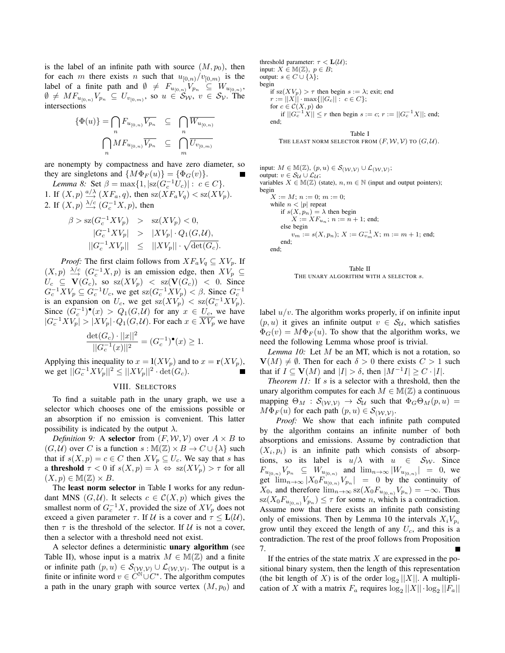is the label of an infinite path with source  $(M, p_0)$ , then for each *m* there exists *n* such that  $u_{[0,n)}/v_{[0,m)}$  is the label of a finite path and  $\emptyset \neq F_{u_{[0,n)}}V_{p_n} \subseteq W_{u_{[0,n]}},$  $\emptyset \neq MF_{u_{[0,n)}}V_{p_n} \subseteq U_{v_{[0,m)}},$  so  $u \in \mathcal{S}_{\mathcal{W}}, v \in \mathcal{S}_{\mathcal{V}}.$  The intersections

$$
\{\Phi(u)\} = \bigcap_n F_{u_{[0,n)}} \overline{V_{p_n}} \subseteq \bigcap_n \overline{W_{u_{[0,n)}}}
$$

$$
\bigcap_n M F_{u_{[0,n)}} \overline{V_{p_n}} \subseteq \bigcap_m \overline{U_{v_{[0,m)}}}
$$

are nonempty by compactness and have zero diameter, so they are singletons and  $\{M\Phi_F(u)\} = \{\Phi_G(v)\}.$ 

*Lemma 8:* Set  $\beta = \max\{1, |\text{sz}(G_c^{-1}U_c)| : c \in C\}$ . 1. If  $(X, p) \stackrel{a/\lambda}{\longrightarrow} (XF_a, q)$ , then  $sz(XF_aV_q) < sz(XV_p)$ . 2. If  $(X, p) \xrightarrow{\lambda/c} (G_c^{-1}X, p)$ , then

$$
\beta > \mathrm{sz}(G_c^{-1}XV_p) > \mathrm{sz}(XV_p) < 0,
$$
  
\n
$$
|G_c^{-1}XV_p| > |XV_p| \cdot Q_1(G, \mathcal{U}),
$$
  
\n
$$
||G_c^{-1}XV_p|| \le ||XV_p|| \cdot \sqrt{\det(G_c)}.
$$

*Proof:* The first claim follows from  $XF_aV_q \subseteq XV_p$ . If  $(X, p) \xrightarrow{\lambda/c} (G_c^{-1}X, p)$  is an emission edge, then  $XV_p \subseteq$  $U_c \subseteq \mathbf{V}(G_c)$ , so  $sz(XV_p) < sz(\mathbf{V}(G_c)) < 0$ . Since  $G_c^{-1}XV_p \subseteq G_c^{-1}U_c$ , we get  $\text{sz}(G_c^{-1}XV_p) < \beta$ . Since  $G_c^{-1}$ is an expansion on  $U_c$ , we get  $sz(XV_p) < sz(G_c^{-1}XV_p)$ . Since  $(G_c^{-1})^{\bullet}(x) > Q_1(G, \mathcal{U})$  for any  $x \in U_c$ , we have  $|G_c^{-1}XV_p|$  >  $|XV_p| \cdot Q_1(G, \mathcal{U})$ . For each  $x \in \overline{XV_p}$  we have

$$
\frac{\det(G_c) \cdot ||x||^2}{||G_c^{-1}(x)||^2} = (G_c^{-1})^{\bullet}(x) \ge 1.
$$

Applying this inequality to  $x = \mathbf{l}(X V_p)$  and to  $x = \mathbf{r}(X V_p)$ ,  $\text{we get } ||G_c^{-1}XV_p||^2 \leq ||XV_p||^2 \cdot \det(G_c).$ 

#### VIII. SELECTORS

To find a suitable path in the unary graph, we use a selector which chooses one of the emissions possible or an absorption if no emission is convenient. This latter possibility is indicated by the output  $\lambda$ .

*Definition 9:* A **selector** from  $(F, W, V)$  over  $A \times B$  to  $(G, U)$  over *C* is a function  $s : \mathbb{M}(\mathbb{Z}) \times B \to C \cup \{\lambda\}$  such that if  $s(X, p) = c \in C$  then  $X V_p \subseteq U_c$ . We say that *s* has a **threshold**  $\tau < 0$  if  $s(X, p) = \lambda \Leftrightarrow \text{sz}(XV_p) > \tau$  for all  $(X, p) \in M(\mathbb{Z}) \times B$ .

The least norm selector in Table I works for any redundant MNS  $(G, \mathcal{U})$ . It selects  $c \in \mathcal{C}(X, p)$  which gives the smallest norm of  $G_c^{-1}X$ , provided the size of  $XV_p$  does not exceed a given parameter  $\tau$ . If  $\mathcal{U}$  is a cover and  $\tau \leq L(\mathcal{U})$ , then  $\tau$  is the threshold of the selector. If  $\mathcal U$  is not a cover, then a selector with a threshold need not exist.

A selector defines a deterministic unary algorithm (see Table II), whose input is a matrix  $M \in M(\mathbb{Z})$  and a finite or infinite path  $(p, u) \in S_{(\mathcal{W}, \mathcal{V})} \cup \mathcal{L}_{(\mathcal{W}, \mathcal{V})}$ . The output is a finite or infinite word  $v \in C^{\mathbb{N}} \cup C^*$ . The algorithm computes a path in the unary graph with source vertex  $(M, p_0)$  and threshold parameter:  $\tau < L(\mathcal{U})$ ; input:  $X \in M(\mathbb{Z})$ ,  $p \in B$ ; output:  $s \in C \cup \{\lambda\}$ ; begin if  $sz(XV_p) > \tau$  then begin  $s := \lambda$ ; exit; end  $r := ||X|| \cdot \max{||G_c||} : c \in C$ ; for  $c \in \mathcal{C}(X, p)$  do  $\inf ||G_c^{-1}X|| \leq r$  then begin *s* := *c*; *r* :=  $||G_c^{-1}X||$ ; end; end;

#### Table I

THE LEAST NORM SELECTOR FROM  $(F, W, V)$  TO  $(G, U)$ .

input:  $M \in M(\mathbb{Z}), (p, u) \in \mathcal{S}_{(\mathcal{W}, \mathcal{V})} \cup \mathcal{L}_{(\mathcal{W}, \mathcal{V})}$ ; output:  $v \in S$ <sup>*U*</sup> ∪  $\mathcal{L}$ *U* ; variables  $X \in M(\mathbb{Z})$  (state),  $n, m \in \mathbb{N}$  (input and output pointers); begin  $X := M$ ;  $n := 0$ ;  $m := 0$ ; while  $n < |p|$  repeat if  $s(X, p_n) = \lambda$  then begin  $X := \overline{XF}_{u_n}$ ;  $n := n + 1$ ; end; else begin  $v_m := s(X, p_n); X := G_{v_m}^{-1}X; m := m + 1;$  end; end; end;



THE UNARY ALGORITHM WITH A SELECTOR *s*.

label  $u/v$ . The algorithm works properly, if on infinite input  $(p, u)$  it gives an infinite output  $v \in S_{\mathcal{U}}$ , which satisfies  $\Phi_G(v) = M \Phi_F(u)$ . To show that the algorithm works, we need the following Lemma whose proof is trivial.

*Lemma 10:* Let *M* be an MT, which is not a rotation, so  $V(M) \neq \emptyset$ . Then for each  $\delta > 0$  there exists  $C > 1$  such that if  $I \subseteq V(M)$  and  $|I| > \delta$ , then  $|M^{-1}I| \geq C \cdot |I|$ .

*Theorem 11:* If *s* is a selector with a threshold, then the unary algorithm computes for each  $M \in M(\mathbb{Z})$  a continuous mapping  $\Theta_M$  :  $\mathcal{S}_{(\mathcal{W}, \mathcal{V})}$   $\to$   $\mathcal{S}_{\mathcal{U}}$  such that  $\Phi_G \Theta_M(p, u)$  =  $M\Phi_F(u)$  for each path  $(p, u) \in S_{(\mathcal{W}, \mathcal{V})}$ .

*Proof:* We show that each infinite path computed by the algorithm contains an infinite number of both absorptions and emissions. Assume by contradiction that  $(X_i, p_i)$  is an infinite path which consists of absorptions, so its label is  $u/\lambda$  with  $u \in S_W$ . Since  $F_{u_{[0,n)}}V_{p_n} \subseteq W_{u_{[0,n)}}$  and  $\lim_{n\to\infty} |W_{u_{[0,n)}}| = 0$ , we get  $\lim_{n\to\infty} |X_0 F_{u_{[0,n)}} V_{p_n}| = 0$  by the continuity of  $X_0$ , and therefore  $\lim_{n\to\infty} sZ(X_0F_{u_{[0,n)}}V_{p_n}) = -\infty$ . Thus  $\langle \text{sz}(X_0F_{u_{[0,n)}}V_{p_n}) \leq \tau$  for some *n*, which is a contradiction. Assume now that there exists an infinite path consisting only of emissions. Then by Lemma 10 the intervals  $X_iV_{p_i}$ grow until they exceed the length of any  $U_c$ , and this is a contradiction. The rest of the proof follows from Proposition 7.

If the entries of the state matrix *X* are expressed in the positional binary system, then the length of this representation (the bit length of *X*) is of the order  $log_2 ||X||$ . A multiplication of *X* with a matrix  $F_a$  requires  $\log_2 ||X|| \cdot \log_2 ||F_a||$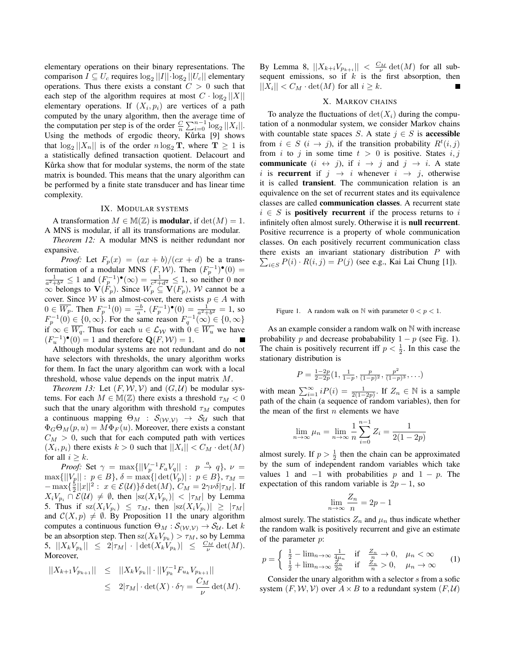elementary operations on their binary representations. The  $\text{comparison } I \subseteq U_c$  requires  $\log_2 ||I|| \cdot \log_2 ||U_c||$  elementary operations. Thus there exists a constant  $C > 0$  such that each step of the algorithm requires at most  $C \cdot \log_2 ||X||$ elementary operations. If  $(X_i, p_i)$  are vertices of a path computed by the unary algorithm, then the average time of the computation per step is of the order  $\frac{C}{n} \sum_{i=0}^{n-1} \log_2 ||X_i||$ . Using the methods of ergodic theory, Kůrka [9] shows that  $\log_2 ||X_n||$  is of the order  $n \log_2 T$ , where  $T \ge 1$  is a statistically defined transaction quotient. Delacourt and Kurka show that for modular systems, the norm of the state matrix is bounded. This means that the unary algorithm can be performed by a finite state transducer and has linear time complexity.

# IX. MODULAR SYSTEMS

A transformation  $M \in M(\mathbb{Z})$  is **modular**, if  $det(M) = 1$ . A MNS is modular, if all its transformations are modular.

*Theorem 12:* A modular MNS is neither redundant nor expansive.

*Proof:* Let  $F_p(x) = (ax + b)/(cx + d)$  be a transformation of a modular MNS  $(F, W)$ . Then  $(F_p^{-1})^{\bullet}(0) =$  $\frac{1}{a^2+b^2}$  ≤ 1 and  $(F_p^{-1})^{\bullet}(\infty) = \frac{1}{c^2+d^2}$  ≤ 1, so neither 0 nor  $\infty$  belongs to  $\mathbf{V}(F_p)$ . Since  $W_p \subseteq \mathbf{V}(F_p)$ , *W* cannot be a cover. Since *W* is an almost-cover, there exists  $p \in A$  with 0 ∈  $\overline{W_p}$ . Then  $F_p^{-1}(0) = \frac{-b}{a}$ ,  $(F_p^{-1})^{\bullet}(0) = \frac{1}{a^2 + b^2} = 1$ , so  $F_p^{-1}(0) \in \{0, \infty\}$ . For the same reason  $F_q^{-1}(\infty) \in \{0, \infty\}$ if  $\infty$  ∈  $\overline{W_q}$ . Thus for each  $u \in \mathcal{L}_\mathcal{W}$  with  $0 \in \overline{W_u}$  we have  $(F_u^{-1})^{\bullet}(0) = 1$  and therefore  $\mathbf{Q}(F, \mathcal{W}) = 1$ .

Although modular systems are not redundant and do not have selectors with thresholds, the unary algorithm works for them. In fact the unary algorithm can work with a local threshold, whose value depends on the input matrix *M*.

*Theorem 13:* Let  $(F, W, V)$  and  $(G, U)$  be modular systems. For each  $M \in M(\mathbb{Z})$  there exists a threshold  $\tau_M < 0$ such that the unary algorithm with threshold  $\tau_M$  computes a continuous mapping  $\Theta_M$  :  $\mathcal{S}_{(\mathcal{W}, \mathcal{V})}$   $\rightarrow$   $\mathcal{S}_{\mathcal{U}}$  such that  $\Phi_G \Theta_M(p, u) = M \Phi_F(u)$ . Moreover, there exists a constant  $C_M > 0$ , such that for each computed path with vertices  $(X_i, p_i)$  there exists  $k > 0$  such that  $||X_i|| < C_M \cdot det(M)$ for all  $i > k$ .

*Proof:* Set  $\gamma = \max\{||V_p^{-1}F_aV_q||: p \stackrel{a}{\rightarrow} q\}$ ,  $\nu =$  $\max\{|V_p||: p \in B\}, \delta = \max\{|det(V_p)|: p \in B\}, \tau_M =$ *−* max{ $\frac{5}{2}$ ||*x*||<sup>2</sup> : *x* ∈ *E*(*U*)}*δ* det(*M*), *C<sub>M</sub>* = 2*γνδ*|*τ*<sub>*M*</sub>|. If  $X_i V_{p_i} \cap \mathcal{E}(\mathcal{U}) \neq \emptyset$ , then  $|sz(X_i V_{p_i})| < |\tau_M|$  by Lemma 5. Thus if  $\text{sz}(X_iV_{p_i}) \leq \tau_M$ , then  $|\text{sz}(X_iV_{p_i})| \geq |\tau_M|$ and  $C(X, p) \neq \emptyset$ . By Proposition 11 the unary algorithm computes a continuous function  $\Theta_M : \mathcal{S}_{(\mathcal{W}, \mathcal{V})} \to \mathcal{S}_{\mathcal{U}}$ . Let *k* be an absorption step. Then  $\text{sz}(X_k V_{p_k}) > \tau_M$ , so by Lemma  $|X_k V_{p_k}|| \leq 2|\tau_M| \cdot |\det(X_k V_{p_k})| \leq \frac{C_M}{\nu} \det(M).$ Moreover,

$$
||X_{k+1}V_{p_{k+1}}|| \leq ||X_kV_{p_k}|| \cdot ||V_{p_k}^{-1}F_{u_k}V_{p_{k+1}}||
$$
  
 
$$
\leq 2|\tau_M| \cdot \det(X) \cdot \delta \gamma = \frac{C_M}{\nu} \det(M).
$$

By Lemma 8,  $||X_{k+i}V_{p_{k+i}}|| < \frac{C_M}{\nu} \det(M)$  for all subsequent emissions, so if *k* is the first absorption, then  $||X_i|| < C_M \cdot \det(M)$  for all  $i \geq k$ .

## X. MARKOV CHAINS

To analyze the fluctuations of  $\det(X_i)$  during the computation of a nonmodular system, we consider Markov chains with countable state spaces *S*. A state  $j \in S$  is **accessible** from  $i \in S$  ( $i \rightarrow j$ ), if the transition probability  $R^t(i, j)$ from *i* to *j* in some time  $t > 0$  is positive. States  $i, j$ communicate  $(i \leftrightarrow j)$ , if  $i \rightarrow j$  and  $j \rightarrow i$ . A state *i* is **recurrent** if  $j \rightarrow i$  whenever  $i \rightarrow j$ , otherwise it is called transient. The communication relation is an equivalence on the set of recurrent states and its equivalence classes are called communication classes. A recurrent state  $i \in S$  is **positively recurrent** if the process returns to *i* infinitely often almost surely. Otherwise it is null recurrent. Positive recurrence is a property of whole communication classes. On each positively recurrent communication class there exists an invariant stationary distribution *P* with  $\sum_{i \in S} P(i) \cdot R(i, j) = P(j)$  (see e.g., Kai Lai Chung [1]).

## Figure 1. A random walk on  $\mathbb N$  with parameter  $0 < p < 1$ .

As an example consider a random walk on N with increase probability *p* and decrease probabability  $1 - p$  (see Fig. 1). The chain is positively recurrent iff  $p < \frac{1}{2}$ . In this case the stationary distribution is

$$
P = \frac{1-2p}{2-2p}(1, \frac{1}{1-p}, \frac{p}{(1-p)^2}, \frac{p^2}{(1-p)^3}, \ldots)
$$

with mean  $\sum_{i=1}^{\infty} iP(i) = \frac{1}{2(1-2p)}$ . If  $Z_n \in \mathbb{N}$  is a sample path of the chain (a sequence of random variables), then for the mean of the first *n* elements we have

$$
\lim_{n \to \infty} \mu_n = \lim_{n \to \infty} \frac{1}{n} \sum_{i=0}^{n-1} Z_i = \frac{1}{2(1 - 2p)}
$$

almost surely. If  $p > \frac{1}{2}$  then the chain can be approximated by the sum of independent random variables which take values 1 and  $-1$  with probabilities *p* and  $1 - p$ . The expectation of this random variable is  $2p - 1$ , so

$$
\lim_{n \to \infty} \frac{Z_n}{n} = 2p - 1
$$

almost surely. The statistics  $Z_n$  and  $\mu_n$  thus indicate whether the random walk is positively recurrent and give an estimate of the parameter *p*:

$$
p = \begin{cases} \frac{1}{2} - \lim_{n \to \infty} \frac{1}{4\mu_n} & \text{if } \frac{Z_n}{n} \to 0, \quad \mu_n < \infty \\ \frac{1}{2} + \lim_{n \to \infty} \frac{Z_n}{2n} & \text{if } \frac{Z_n}{n} > 0, \quad \mu_n \to \infty \end{cases} \tag{1}
$$

Consider the unary algorithm with a selector *s* from a sofic system  $(F, W, V)$  over  $A \times B$  to a redundant system  $(F, U)$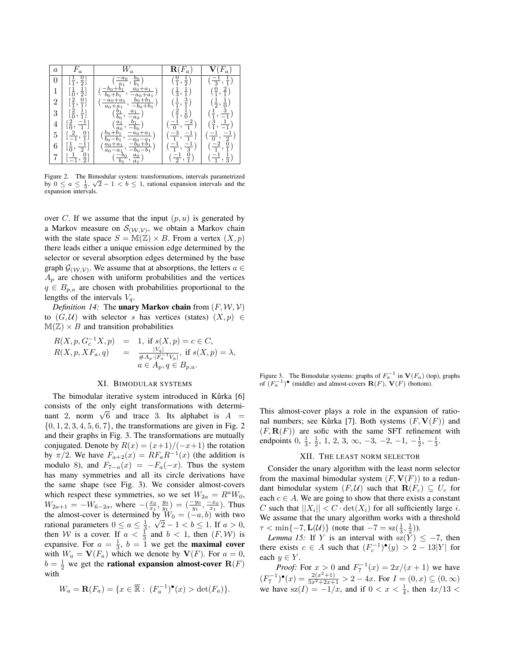| $\boldsymbol{a}$ | $F_a$                                        |                                                                                                                                                                                              |                                           |                                                                                       |
|------------------|----------------------------------------------|----------------------------------------------------------------------------------------------------------------------------------------------------------------------------------------------|-------------------------------------------|---------------------------------------------------------------------------------------|
| $\boldsymbol{0}$ | $\frac{0}{2}$<br>$\frac{1}{1}$ , .           | $\left(\frac{-a_0}{a_1}, \frac{b_0}{b_1}\right)$<br>$\frac{-b_0+b_1}{a_0+a_1}$<br>$\frac{a_0}{a_1},$                                                                                         | $\left(\frac{0}{1},\frac{1}{2}\right)$    | $\left(\frac{-1}{3},\frac{1}{1}\right)$                                               |
| 1                | $\frac{1}{2}$<br>$\left[\frac{1}{0},\right]$ | $b_0 + b_1$<br>$-a_0+a_1$                                                                                                                                                                    | $(\frac{1}{3}, \frac{1}{1})$              | $(\frac{0}{1}, \frac{2}{1})$                                                          |
| 2                | $[\frac{2}{1}, \frac{0}{1}]$                 | $-a_0 + a_1$ $b_0 + b_1$<br>$, -b_0 + b_1$                                                                                                                                                   | $(\frac{1}{1}, \frac{3}{1})$              | $(\frac{1}{2},\frac{1}{0})$                                                           |
| 3                | $[\frac{2}{0}, \frac{1}{1}]$                 | $\frac{a_0 + a_1}{a_0 + a_1}, \frac{-b_0 + b_0}{-a_0}$ $\frac{b_1}{b_0}, \frac{a_1}{-a_0}$ $\frac{a_1}{a_0}, \frac{b_1}{-b_0}$ $\frac{b_0 + b_1}{-a_0 + b_1}, \frac{-a_0 + b_1}{-a_0 + b_1}$ | $(\frac{2}{1}, \frac{1}{0})$              | $(\frac{1}{1}, \frac{3}{-1})$                                                         |
| 4                | $[\frac{2}{0},\frac{-1}{1}]$                 |                                                                                                                                                                                              | $\left(\frac{-1}{0}, \frac{-2}{1}\right)$ | $(\frac{3}{1}, \frac{1}{-1})$                                                         |
| 5                | $\left[\frac{2}{-1},\frac{0}{1}\right]$      | $-a_0 + a_1$<br>$\frac{-a_0 - a_1}{\cdots}$<br>$b_0 - b_1$                                                                                                                                   | $(\frac{-3}{1}, \frac{-1}{1})$            |                                                                                       |
| 6                | $[\frac{1}{0}, \frac{-1}{2}]$                | $-b_0+b_1$<br>$a_0 + a_1$                                                                                                                                                                    | $(\frac{-1}{1}, \frac{-1}{3})$            | $\left(\frac{-1}{0}, \frac{-1}{2}\right)$<br>$\left(\frac{-2}{1}, \frac{0}{1}\right)$ |
| 7                | $[\frac{1}{-1}, \frac{0}{2}]$                | $\frac{a_0 - a_1}{\left(\frac{-b_0}{b_1}, \frac{a_0}{a_1}\right)}$                                                                                                                           | $(\frac{-1}{2}, \frac{0}{1})$             | $(\frac{-1}{1}, \frac{1}{3})$                                                         |

Figure 2. The Bimodular system: transformations, intervals parametrized *√* by  $0 \le a \le \frac{1}{3}$ ,  $\sqrt{2} - 1 < b \le 1$ , rational expansion intervals and the expansion intervals.

over *C*. If we assume that the input  $(p, u)$  is generated by a Markov measure on  $S_{(\mathcal{W}, \mathcal{V})}$ , we obtain a Markov chain with the state space  $S = M(\mathbb{Z}) \times B$ . From a vertex  $(X, p)$ there leads either a unique emission edge determined by the selector or several absorption edges determined by the base graph  $\mathcal{G}(\mathcal{W}, \mathcal{V})$ . We assume that at absorptions, the letters *a*  $\in$  $A_p$  are chosen with uniform probabilities and the vertices *q* ∈ *B*<sub>*p*,*a*</sub> are chosen with probabilities proportional to the lengths of the intervals  $V_a$ .

*Definition 14:* The **unary Markov chain** from  $(F, W, V)$ to  $(G, U)$  with selector *s* has vertices (states)  $(X, p) \in$  $M(\mathbb{Z}) \times B$  and transition probabilities

$$
R(X, p, G_c^{-1}X, p) = 1, \text{ if } s(X, p) = c \in C, R(X, p, XF_a, q) = \frac{|V_q|}{\#A_p \cdot |F_a^{-1}V_p|}, \text{ if } s(X, p) = \lambda, a \in A_p, q \in B_{p,a}.
$$

#### XI. BIMODULAR SYSTEMS

The bimodular iterative system introduced in Kůrka [6] consists of the only eight transformations with determiconsists of the only eight transformations with determinant 2, norm  $\sqrt{6}$  and trace 3. Its alphabet is  $A =$ *{*0*,* 1*,* 2*,* 3*,* 4*,* 5*,* 6*,* 7*}*, the transformations are given in Fig. 2 and their graphs in Fig. 3. The transformations are mutually conjugated. Denote by  $R(x) = \frac{x+1}{-x+1}$  the rotation by  $\pi/2$ . We have  $F_{a+2}(x) = RF_aR^{-1}(x)$  (the addition is modulo 8), and  $F_{7-a}(x) = -F_a(-x)$ . Thus the system has many symmetries and all its circle derivations have the same shape (see Fig. 3). We consider almost-covers which respect these symmetries, so we set  $W_{2a} = R^a W_0$ ,  $W_{2a+1} = -W_{6-2a}$ , where  $-\left(\frac{x_0}{x_1}, \frac{y_0}{y_1}\right) = \left(\frac{-y_0}{y_1}, \frac{-x_0}{x_1}\right)$ . Thus the almost-cover is determined by  $W_0 = (-a, b)$  with two rational parameters  $0 \le a \le \frac{1}{3}$ ,  $\sqrt{2} - 1 < b \le 1$ . If  $a > 0$ , then *W* is a cover. If  $a < \frac{1}{3}$  and  $b < 1$ , then  $(F, W)$  is expansive. For  $a = \frac{1}{3}$ ,  $b = 1$  we get the **maximal cover** with  $W_a = \mathbf{V}(F_a)$  which we denote by  $\mathbf{V}(F)$ . For  $a = 0$ ,  $b = \frac{1}{2}$  we get the **rational expansion almost-cover R**(*F*) with

$$
W_a = \mathbf{R}(F_a) = \{x \in \overline{\mathbb{R}} : (F_a^{-1})^{\bullet}(x) > \det(F_a)\}.
$$

Figure 3. The Bimodular systems: graphs of  $F_a^{-1}$  in  $V(F_a)$  (top), graphs of  $(F_a^{-1})^{\bullet}$  (middle) and almost-covers  $\mathbf{R}(F)$ ,  $\mathbf{V}(F)$  (bottom).

This almost-cover plays a role in the expansion of rational numbers; see Kůrka [7]. Both systems  $(F, V(F))$  and  $(F, \mathbf{R}(F))$  are sofic with the same SFT refinement with endpoints  $0, \frac{1}{3}, \frac{1}{2}, 1, 2, 3, \infty, -3, -2, -1, -\frac{1}{2}, -\frac{1}{3}.$ 

## XII. THE LEAST NORM SELECTOR

Consider the unary algorithm with the least norm selector from the maximal bimodular system  $(F, V(F))$  to a redundant bimodular system  $(F, U)$  such that  $\mathbf{R}(F_c) \subseteq U_c$  for each  $c \in A$ . We are going to show that there exists a constant *C* such that  $||X_i|| < C \cdot det(X_i)$  for all sufficiently large *i*. We assume that the unary algorithm works with a threshold  $\tau < \min\{-7, \mathbf{L}(\mathcal{U})\}$  (note that  $-7 = \text{sz}(\frac{1}{3}, \frac{1}{2})$ ).

*Lemma 15:* If *Y* is an interval with  $sz(Y) \leq -7$ , then there exists  $c \in A$  such that  $(F_c^{-1})^{\bullet}(y) > 2 - 13|Y|$  for each  $y \in Y$ .

*Proof:* For  $x > 0$  and  $F_7^{-1}(x) = 2x/(x+1)$  we have  $(F_7^{-1})^{\bullet}(x) = \frac{2(x^2+1)}{5x^2+2x+1} > 2-4x$ . For *I* = (0*, x*) ⊆ (0*,* ∞) we have  $\text{sz}(I) = -1/x$ , and if  $0 < x < \frac{1}{4}$ , then  $4x/13 <$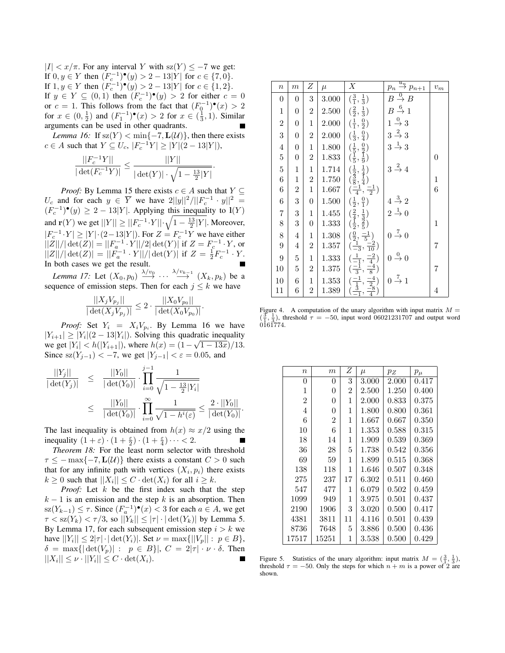*|I| < x/π*. For any interval *Y* with sz(*Y* ) *≤ −*7 we get: If 0*, y* ∈ *Y* then  $(F_c^{-1})^{\bullet}(y) > 2 - 13|Y|$  for  $c \in \{7, 0\}$ . If 1, *y* ∈ *Y* then  $(F_c^{-1})^{\bullet}(y) > 2 - 13|Y|$  for  $c \in \{1, 2\}$ . If *y* ∈ *Y* ⊆ (0,1) then  $(F_c^{-1})^{\bullet}(y) > 2$  for either *c* = 0 or *c* = 1. This follows from the fact that  $(F_0^{-1})^{\bullet}(x) > 2$ for  $x \in (0, \frac{1}{2})$  and  $(F_1^{-1})^{\bullet}(x) > 2$  for  $x \in (\frac{1}{3}, 1)$ . Similar arguments can be used in other quadrants.

*Lemma 16:* If  $sz(Y) < min{-7, L(U)}$ , then there exists *c* ∈ *A* such that  $Y \subseteq U_c$ ,  $|F_c^{-1}Y| \ge |Y|(2-13|Y|)$ ,

$$
\frac{||F_c^{-1}Y||}{|\det(F_c^{-1}Y)|} \le \frac{||Y||}{|\det(Y)| \cdot \sqrt{1 - \frac{13}{2}|Y|}}.
$$

*Proof:* By Lemma 15 there exists  $c \in A$  such that  $Y \subseteq$ *U*<sub>*c*</sub> and for each *y* ∈  $\overline{Y}$  we have  $2||y||^2/||F_c^{-1} \cdot y||^2 =$  $(F_c^{-1})$ <sup>•</sup> $(y)$  ≥ 2 − 13|*Y*|. Applying this inequality to **l**(*Y*) and **r**(*Y*) we get  $||Y|| \ge ||F_c^{-1} \cdot Y|| \cdot \sqrt{1 - \frac{13}{2}|Y|}$ . Moreover,  $|F_c^{-1} \cdot Y|$  ≥  $|Y| \cdot (2-13|Y|)$ . For  $Z = F_c^{-1}Y$  we have either  $||Z||/|\det(Z)| = ||F_a^{-1} \cdot Y||/2|\det(Y)|$  if  $Z = F_c^{-1} \cdot Y$ , or  $||Z||/|\det(Z)| = ||F_a^{-1} \cdot Y||/|\det(Y)|$  if  $Z = \frac{1}{2}F_c^{-1} \cdot Y$ . In both cases we get the result.

*Lemma 17:* Let  $(X_0, p_0) \xrightarrow{\lambda/v_0} \cdots \xrightarrow{\lambda/v_{k-1}} (X_k, p_k)$  be a sequence of emission steps. Then for each  $j \leq k$  we have

$$
\frac{||X_j V_{p_j}||}{|\det(X_j V_{p_j})|} \leq 2 \cdot \frac{||X_0 V_{p_0}||}{|\det(X_0 V_{p_0})|}.
$$

*Proof:* Set  $Y_i = X_i V_{p_i}$ . By Lemma 16 we have  $|Y_{i+1}| \ge |Y_i|(2-13|Y_i|)$ . Solving this quadratic inequality we get  $|Y_i| < h(|Y_{i+1}|)$ , where  $h(x) = (1 - \sqrt{1 - 13x})/13$ . Since sz $(Y_{j-1})$  < −7, we get  $|Y_{j-1}|$  <  $\varepsilon$  = 0.05, and

$$
\frac{||Y_j||}{|\det(Y_j)|} \leq \frac{||Y_0||}{|\det(Y_0)|} \cdot \prod_{i=0}^{j-1} \frac{1}{\sqrt{1 - \frac{13}{2}|Y_i|}}\n\leq \frac{||Y_0||}{|\det(Y_0)|} \cdot \prod_{i=0}^{\infty} \frac{1}{\sqrt{1 - h^i(\varepsilon)}} \leq \frac{2 \cdot ||Y_0||}{|\det(Y_0)|}.
$$

The last inequality is obtained from  $h(x) \approx x/2$  using the inequality  $(1 + \varepsilon) \cdot (1 + \frac{\varepsilon}{2}) \cdot (1 + \frac{\varepsilon}{4}) \cdot \dots < 2$ .

*Theorem 18:* For the least norm selector with threshold  $\tau \leq -\max\{-7, \mathbf{L}(\mathcal{U})\}$  there exists a constant  $C > 0$  such that for any infinite path with vertices  $(X_i, p_i)$  there exists  $k \geq 0$  such that  $||X_i|| \leq C \cdot \det(X_i)$  for all  $i \geq k$ .

*Proof:* Let *k* be the first index such that the step  $k - 1$  is an emission and the step  $k$  is an absorption. Then  $\text{sz}(Y_{k-1})$  ≤  $\tau$ . Since  $(F_a^{-1})^{\bullet}(x)$  < 3 for each *a* ∈ *A*, we get  $\tau <$ sz $(Y_k) < \tau/3$ , so  $||Y_k|| \leq |\tau| \cdot |\det(Y_k)|$  by Lemma 5. By Lemma 17, for each subsequent emission step  $i > k$  we  $|\text{have } ||Y_i|| \leq 2|\tau| \cdot |\det(Y_i)|$ . Set  $\nu = \max\{||V_p|| : p \in B\}$ ,  $\delta = \max\{|\det(V_p)| : p \in B\}, C = 2|\tau| \cdot \nu \cdot \delta$ . Then  $||X_i|| \leq \nu \cdot ||Y_i|| \leq C \cdot \det(X_i).$ 

| $\overline{n}$   | $\boldsymbol{m}$ | Ζ                       | $\mu$     | Х                                                                                                          | $p_n \stackrel{u_n}{\rightarrow} p_{n+1}$ | $\boldsymbol{v}_{m}$ |
|------------------|------------------|-------------------------|-----------|------------------------------------------------------------------------------------------------------------|-------------------------------------------|----------------------|
| $\overline{0}$   | $\overline{0}$   | $\,3$                   | 3.000     | $(\frac{3}{1}, \frac{1}{3})$                                                                               | $B\stackrel{0}{\rightarrow} \overline{B}$ |                      |
| $\mathbf{1}$     | $\boldsymbol{0}$ | $\overline{2}$          | 2.500     | $(\frac{2}{2}, \frac{1}{3})$                                                                               | $B\stackrel{6}{\rightarrow}1$             |                      |
| $\sqrt{2}$       | $\boldsymbol{0}$ | $\,1$                   | 2.000     | $(\frac{1}{1}, \frac{0}{2})$                                                                               | $1 \stackrel{0}{\rightarrow} 3$           |                      |
| $\sqrt{3}$       | $\boldsymbol{0}$ | $\overline{2}$          | 2.000     | $(\frac{1}{3}, \frac{0}{4})$                                                                               | $3 \stackrel{2}{\rightarrow} 3$           |                      |
| $\overline{4}$   | $\boldsymbol{0}$ | $\mathbf 1$             | 1.800     | $\big(\frac{1}{5},\frac{0}{2}\big)$<br>$\big(\frac{1}{5},\frac{1}{9}\big)$                                 | $3 \stackrel{1}{\rightarrow} 3$           |                      |
| $\bf 5$          | $\boldsymbol{0}$ | $\overline{2}$          | $1.833\,$ |                                                                                                            |                                           | 0                    |
| $\bf 5$          | $\,1$            | $\mathbf{1}$            | 1.714     | $\left(\frac{1}{2},\frac{1}{4}\right)$<br>$\left(\frac{3}{8},\frac{1}{4}\right)$                           | $3\stackrel{2}{\rightarrow}4$             |                      |
| $\,6$            | $\,1$            | $\overline{\mathbf{c}}$ | 1.750     |                                                                                                            |                                           | $\mathbf 1$          |
| $\,6$            | $\boldsymbol{2}$ | $\mathbf 1$             | 1.667     | $\left(\frac{-1}{4}, \frac{-1}{2}\right)$                                                                  |                                           | 6                    |
| $\boldsymbol{6}$ | 3                | $\boldsymbol{0}$        | 1.500     | $(\frac{1}{2}, \frac{0}{1})$                                                                               | $4\stackrel{3}{\rightarrow}2$             |                      |
| $\!\!7$          | $\overline{3}$   | $\mathbf 1$             | 1.455     |                                                                                                            | $2 \stackrel{1}{\rightarrow} 0$           |                      |
| 8                | $\boldsymbol{3}$ | $\boldsymbol{0}$        | 1.333     | $\left(\frac{2}{4},\frac{1}{3}\right)$<br>$\left(\frac{1}{2},\frac{2}{5}\right)$                           |                                           | $\mathbf 1$          |
| $8\,$            | $\overline{4}$   | $\,1$                   | 1.308     |                                                                                                            | $0 \stackrel{7}{\rightarrow} 0$           |                      |
| $\boldsymbol{9}$ | $\overline{4}$   | $\overline{2}$          | 1.357     | $(\frac{0}{2},\frac{-1}{5})\\ (\frac{1}{-3},\frac{-2}{10})$                                                |                                           | 7                    |
| $\overline{9}$   | $\overline{5}$   | $\mathbf{1}$            | 1.333     | $(\frac{1}{-1}, \frac{-2}{4})$                                                                             | $0 \stackrel{0}{\rightarrow} 0$           |                      |
| 10               | $\bf 5$          | $\boldsymbol{2}$        | 1.375     | $\left(\frac{-1}{3}, \frac{-4}{8}\right)$                                                                  |                                           | 7                    |
| 10               | $\boldsymbol{6}$ | 1                       | 1.353     |                                                                                                            | $0 \stackrel{7}{\rightarrow} 1$           |                      |
| 11               | 6                | 2                       | 1.389     | $\left(\frac{-1}{\frac{1}{1}}, \frac{-4}{\frac{2}{4}}\right)$<br>$\left(\frac{3}{-1}, \frac{-8}{4}\right)$ |                                           | 4                    |

Figure 4. A computation of the unary algorithm with input matrix  $M =$  $(\frac{3}{1}, \frac{1}{3})$ , threshold  $\tau = -50$ , input word 06021231707 and output word 0161774.

| $\boldsymbol{n}$ | $_{m}$         | Ζ              | $\mu$ | $p_Z$     | $p_\mu$ |
|------------------|----------------|----------------|-------|-----------|---------|
| 0                | 0              | 3              | 3.000 | 2.000     | 0.417   |
| 1                | 0              | $\overline{2}$ | 2.500 | 1.250     | 0.400   |
| $\overline{2}$   | 0              | 1              | 2.000 | 0.833     | 0.375   |
| 4                | 0              | 1              | 1.800 | 0.800     | 0.361   |
| 6                | $\overline{2}$ | 1              | 1.667 | 0.667     | 0.350   |
| 10               | 6              | 1              | 1.353 | 0.588     | 0.315   |
| 18               | 14             | 1              | 1.909 | 0.539     | 0.369   |
| 36               | 28             | 5              | 1.738 | 0.542     | 0.356   |
| 69               | 59             | 1              | 1.899 | 0.515     | 0.368   |
| 138              | 118            | 1              | 1.646 | 0.507     | 0.348   |
| 275              | 237            | 17             | 6.302 | 0.511     | 0.460   |
| 547              | 477            | 1              | 6.079 | 0.502     | 0.459   |
| 1099             | 949            | 1              | 3.975 | 0.501     | 0.437   |
| 2190             | 1906           | 3              | 3.020 | 0.500     | 0.417   |
| 4381             | 3811           | 11             | 4.116 | 0.501     | 0.439   |
| 8736             | 7648           | 5              | 3.886 | 0.500     | 0.436   |
| 17517            | 15251          | 1              | 3.538 | $0.500\,$ | 0.429   |

Figure 5. Statistics of the unary algorithm: input matrix  $M = (\frac{3}{1}, \frac{1}{3})$ , threshold  $\tau = -50$ . Only the steps for which  $n + m$  is a power of 2 are shown.